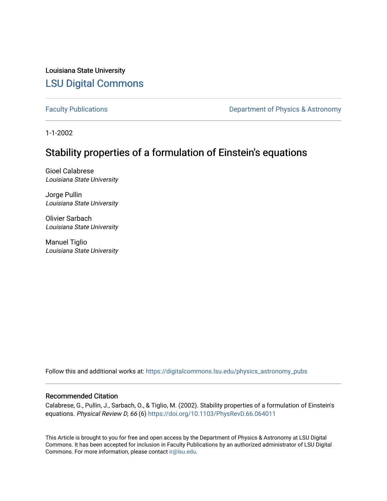Louisiana State University [LSU Digital Commons](https://digitalcommons.lsu.edu/)

[Faculty Publications](https://digitalcommons.lsu.edu/physics_astronomy_pubs) **Exercise 2 and Table 2 and Table 2 and Table 2 and Table 2 and Table 2 and Table 2 and Table 2 and Table 2 and Table 2 and Table 2 and Table 2 and Table 2 and Table 2 and Table 2 and Table 2 and Table** 

1-1-2002

# Stability properties of a formulation of Einstein's equations

Gioel Calabrese Louisiana State University

Jorge Pullin Louisiana State University

Olivier Sarbach Louisiana State University

Manuel Tiglio Louisiana State University

Follow this and additional works at: [https://digitalcommons.lsu.edu/physics\\_astronomy\\_pubs](https://digitalcommons.lsu.edu/physics_astronomy_pubs?utm_source=digitalcommons.lsu.edu%2Fphysics_astronomy_pubs%2F4400&utm_medium=PDF&utm_campaign=PDFCoverPages) 

# Recommended Citation

Calabrese, G., Pullin, J., Sarbach, O., & Tiglio, M. (2002). Stability properties of a formulation of Einstein's equations. Physical Review D, 66 (6)<https://doi.org/10.1103/PhysRevD.66.064011>

This Article is brought to you for free and open access by the Department of Physics & Astronomy at LSU Digital Commons. It has been accepted for inclusion in Faculty Publications by an authorized administrator of LSU Digital Commons. For more information, please contact [ir@lsu.edu](mailto:ir@lsu.edu).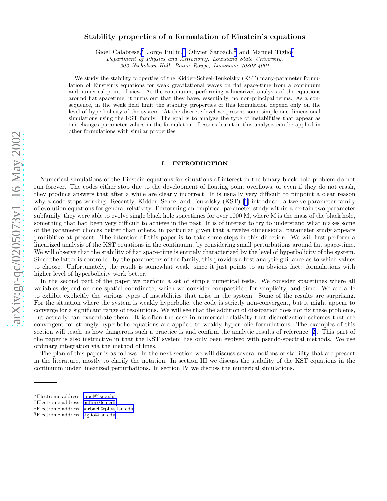# arXiv:gr-qc/0205073v1 16 May 2002 [arXiv:gr-qc/0205073v1 16 May 2002](http://arxiv.org/abs/gr-qc/0205073v1)

# Stability properties of a formulation of Einstein's equations

Gioel Calabrese,<sup>∗</sup> Jorge Pullin,† Olivier Sarbach,‡ and Manuel Tiglio§

Department of Physics and Astronomy, Louisiana State University,

202 Nicholson Hall, Baton Rouge, Louisiana 70803-4001

We study the stability properties of the Kidder-Scheel-Teukolsky (KST) many-parameter formulation of Einstein's equations for weak gravitational waves on flat space-time from a continuum and numerical point of view. At the continuum, performing a linearized analysis of the equations around flat spacetime, it turns out that they have, essentially, no non-principal terms. As a consequence, in the weak field limit the stability properties of this formulation depend only on the level of hyperbolicity of the system. At the discrete level we present some simple one-dimensional simulations using the KST family. The goal is to analyze the type of instabilities that appear as one changes parameter values in the formulation. Lessons learnt in this analysis can be applied in other formulations with similar properties.

### I. INTRODUCTION

Numerical simulations of the Einstein equations for situations of interest in the binary black hole problem do not run forever. The codes either stop due to the development of floating point overflows, or even if they do not crash, they produce answers that after a while are clearly incorrect. It is usually very difficult to pinpoint a clear reason why a code stops working. Recently, Kidder, Scheel and Teukolsky (KST)[[1\]](#page-14-0) introduced a twelve-parameter family of evolution equations for general relativity. Performing an empirical parameter study within a certain two-parameter subfamily, they were able to evolve single black hole spacetimes for over 1000 M, where M is the mass of the black hole, something that had been very difficult to achieve in the past. It is of interest to try to understand what makes some of the parameter choices better than others, in particular given that a twelve dimensional parameter study appears prohibitive at present. The intention of this paper is to take some steps in this direction. We will first perform a linearized analysis of the KST equations in the continuum, by considering small perturbations around flat space-time. We will observe that the stability of flat space-time is entirely characterized by the level of hyperbolicity of the system. Since the latter is controlled by the parameters of the family, this provides a first analytic guidance as to which values to choose. Unfortunately, the result is somewhat weak, since it just points to an obvious fact: formulations with higher level of hyperbolicity work better.

In the second part of the paper we perform a set of simple numerical tests. We consider spacetimes where all variables depend on one spatial coordinate, which we consider compactified for simplicity, and time. We are able to exhibit explicitly the various types of instabilities that arise in the system. Some of the results are surprising. For the situation where the system is weakly hyperbolic, the code is strictly non-convergent, but it might appear to converge for a significant range of resolutions. We will see that the addition of dissipation does not fix these problems, but actually can exacerbate them. It is often the case in numerical relativity that discretization schemes that are convergent for strongly hyperbolic equations are applied to weakly hyperbolic formulations. The examples of this section will teach us how dangerous such a practice is and confirm the analytic results of reference[[2\]](#page-14-0). This part of the paper is also instructive in that the KST system has only been evolved with pseudo-spectral methods. We use ordinary integration via the method of lines.

The plan of this paper is as follows. In the next section we will discuss several notions of stability that are present in the literature, mostly to clarify the notation. In section III we discuss the stability of the KST equations in the continuum under linearized perturbations. In section IV we discuss the numerical simulations.

<sup>∗</sup>Electronic address: [gioel@lsu.edu](mailto:gioel@lsu.edu)

<sup>†</sup>Electronic address: [pullin@lsu.edu](mailto:pullin@lsu.edu)

<sup>‡</sup>Electronic address: [sarbach@phys.lsu.edu](mailto:sarbach@phys.lsu.edu)

<sup>§</sup>Electronic address: [tiglio@lsu.edu](mailto:tiglio@lsu.edu)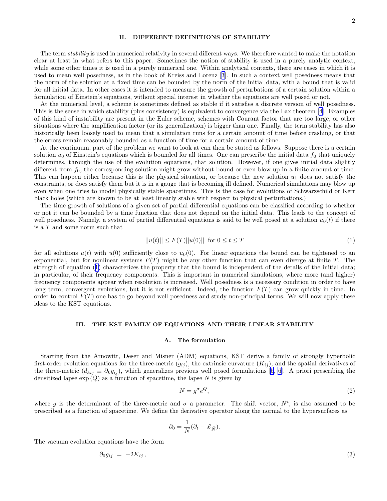### II. DIFFERENT DEFINITIONS OF STABILITY

<span id="page-2-0"></span>The term *stability* is used in numerical relativity in several different ways. We therefore wanted to make the notation clear at least in what refers to this paper. Sometimes the notion of stability is used in a purely analytic context, while some other times it is used in a purely numerical one. Within analytical contexts, there are cases in which it is used to mean well posedness, as in the book of Kreiss and Lorenz[[3\]](#page-15-0). In such a context well posedness means that the norm of the solution at a fixed time can be bounded by the norm of the initial data, with a bound that is valid for all initial data. In other cases it is intended to measure the growth of perturbations of a certain solution within a formulation of Einstein's equations, without special interest in whether the equations are well posed or not.

At the numerical level, a scheme is sometimes defined as stable if it satisfies a discrete version of well posedness. This is the sense in which stability (plus consistency) is equivalent to convergence via the Lax theorem [\[4](#page-15-0)]. Examples of this kind of instability are present in the Euler scheme, schemes with Courant factor that are too large, or other situations where the amplification factor (or its generalization) is bigger than one. Finally, the term stability has also historically been loosely used to mean that a simulation runs for a certain amount of time before crashing, or that the errors remain reasonably bounded as a function of time for a certain amount of time.

At the continuum, part of the problem we want to look at can then be stated as follows. Suppose there is a certain solution  $u_0$  of Einstein's equations which is bounded for all times. One can prescribe the initial data  $f_0$  that uniquely determines, through the use of the evolution equations, that solution. However, if one gives initial data slightly different from  $f_0$ , the corresponding solution might grow without bound or even blow up in a finite amount of time. This can happen either because this is the physical situation, or because the new solution  $u_1$  does not satisfy the constraints, or does satisfy them but it is in a gauge that is becoming ill defined. Numerical simulations may blow up even when one tries to model physically stable spacetimes. This is the case for evolutions of Schwarzschild or Kerr black holes (which are known to be at least linearly stable with respect to physical perturbations.)

The time growth of solutions of a given set of partial differential equations can be classified according to whether or not it can be bounded by a time function that does not depend on the initial data. This leads to the concept of well posedness. Namely, a system of partial differential equations is said to be well posed at a solution  $u_0(t)$  if there is a T and some norm such that

$$
||u(t)|| \le F(T)||u(0)|| \text{ for } 0 \le t \le T
$$
 (1)

for all solutions  $u(t)$  with  $u(0)$  sufficiently close to  $u_0(0)$ . For linear equations the bound can be tightened to an exponential, but for nonlinear systems  $F(T)$  might be any other function that can even diverge at finite T. The strength of equation (1) characterizes the property that the bound is independent of the details of the initial data; in particular, of their frequency components. This is important in numerical simulations, where more (and higher) frequency components appear when resolution is increased. Well posedness is a necessary condition in order to have long term, convergent evolutions, but it is not sufficient. Indeed, the function  $F(T)$  can grow quickly in time. In order to control  $F(T)$  one has to go beyond well posedness and study non-principal terms. We will now apply these ideas to the KST equations.

### III. THE KST FAMILY OF EQUATIONS AND THEIR LINEAR STABILITY

### A. The formulation

Starting from the Arnowitt, Deser and Misner (ADM) equations, KST derive a family of strongly hyperbolic first-order evolution equations for the three-metric  $(g_{ij})$ , the extrinsic curvature  $(K_{ij})$ , and the spatial derivatives of the three-metric  $(d_{kij} \equiv \partial_k g_{ij})$ , which generalizes previous well posed formulations [\[5](#page-15-0), [6](#page-15-0)]. A priori prescribing the densitized lapse  $\exp(Q)$  as a function of spacetime, the lapse N is given by

$$
N = g^{\sigma} e^{Q},\tag{2}
$$

where g is the determinant of the three-metric and  $\sigma$  a parameter. The shift vector,  $N^i$ , is also assumed to be prescribed as a function of spacetime. We define the derivative operator along the normal to the hypersurfaces as

$$
\partial_0 = \frac{1}{N} (\partial_t - \pounds_{\vec{N}}).
$$

The vacuum evolution equations have the form

$$
\partial_0 g_{ij} = -2K_{ij}, \qquad (3)
$$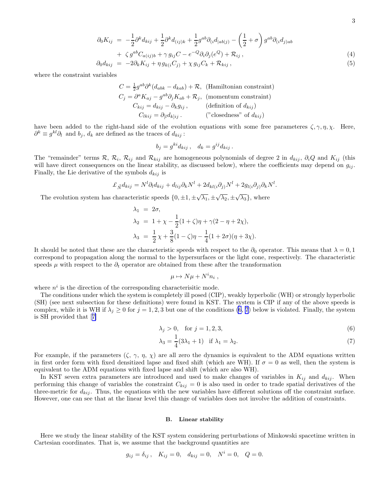$$
\partial_0 K_{ij} = -\frac{1}{2} \partial^k d_{kij} + \frac{1}{2} \partial^k d_{(ij)k} + \frac{1}{2} g^{ab} \partial_{(i} d_{|ab|j)} - \left(\frac{1}{2} + \sigma\right) g^{ab} \partial_{(i} d_{j)ab} + \zeta g^{ab} C_{a(ij)b} + \gamma g_{ij} C - e^{-Q} \partial_i \partial_j (e^Q) + \mathcal{R}_{ij},
$$
\n(4)

$$
\partial_0 d_{kij} = -2\partial_k K_{ij} + \eta g_{k(i}C_{j)} + \chi g_{ij}C_k + \mathcal{R}_{kij}, \qquad (5)
$$

where the constraint variables

 $C = \frac{1}{2}g^{ab}\partial^k(d_{abk} - d_{kab}) + \mathcal{R}$ , (Hamiltonian constraint)  $C_j = \partial^a K_{aj} - g^{ab} \partial_j K_{ab} + \mathcal{R}_j$ , (momentum constraint)  $C_{kij} = d_{kij} - \partial_k g_{ij}$ , (definition of  $d_{kij}$ )  $C_{lkij} = \partial_{[l}d_{k]ij}$ . ("closedness" of  $d_{kij}$ )

have been added to the right-hand side of the evolution equations with some free parameteres  $\zeta$ ,  $\gamma$ ,  $\eta$ ,  $\chi$ . Here,  $\partial^k \equiv g^{kl} \partial_l$  and  $b_j$ ,  $d_k$  are defined as the traces of  $d_{kij}$ :

$$
b_j = g^{ki} d_{kij} , \quad d_k = g^{ij} d_{kij} .
$$

The "remainder" terms  $\mathcal{R}, \mathcal{R}_i, \mathcal{R}_{ij}$  and  $\mathcal{R}_{kij}$  are homogeneous polynomials of degree 2 in  $d_{kij}$ ,  $\partial_i Q$  and  $K_{ij}$  (this will have direct consequences on the linear stability, as discussed below), where the coefficients may depend on  $g_{ij}$ . Finally, the Lie derivative of the symbols  $d_{kij}$  is

$$
\pounds_{\vec{N}}d_{kij} = N^l \partial_l d_{kij} + d_{lij} \partial_k N^l + 2 d_{kl(i} \partial_j) N^l + 2 g_{l(i} \partial_j) \partial_k N^l.
$$

The evolution system has characteristic speeds  $\{0, \pm 1, \pm \sqrt{\lambda_1}, \pm \sqrt{\lambda_2}, \pm \sqrt{\lambda_3}\}\,$ , where

$$
\lambda_1 = 2\sigma,
$$
  
\n
$$
\lambda_2 = 1 + \chi - \frac{1}{2}(1+\zeta)\eta + \gamma(2-\eta+2\chi),
$$
  
\n
$$
\lambda_3 = \frac{1}{2}\chi + \frac{3}{8}(1-\zeta)\eta - \frac{1}{4}(1+2\sigma)(\eta+3\chi).
$$

It should be noted that these are the characteristic speeds with respect to the  $\partial_0$  operator. This means that  $\lambda = 0, 1$ correspond to propagation along the normal to the hypersurfaces or the light cone, respectively. The characteristic speeds  $\mu$  with respect to the  $\partial_t$  operator are obtained from these after the transformation

$$
\mu \mapsto N\mu + N^i n_i ,
$$

where  $n^i$  is the direction of the corresponding characterisitic mode.

The conditions under which the system is completely ill posed (CIP), weakly hyperbolic (WH) or strongly hyperbolic (SH) (see next subsection for these definitions) were found in KST. The system is CIP if any of the above speeds is complex, while it is WH if  $\lambda_i \geq 0$  for  $j = 1, 2, 3$  but one of the conditions (6, 7) below is violated. Finally, the system is SH provided that[[7\]](#page-15-0)

$$
\lambda_j > 0, \quad \text{for } j = 1, 2, 3,\tag{6}
$$

$$
\lambda_3 = \frac{1}{4}(3\lambda_1 + 1) \quad \text{if } \lambda_1 = \lambda_2. \tag{7}
$$

For example, if the parameters  $(\zeta, \gamma, \eta, \chi)$  are all zero the dynamics is equivalent to the ADM equations written in first order form with fixed densitized lapse and fixed shift (which are WH). If  $\sigma = 0$  as well, then the system is equivalent to the ADM equations with fixed lapse and shift (which are also WH).

In KST seven extra parameters are introduced and used to make changes of variables in  $K_{ij}$  and  $d_{kij}$ . When performing this change of variables the constraint  $C_{kij} = 0$  is also used in order to trade spatial derivatives of the three-metric for  $d_{kij}$ . Thus, the equations with the new variables have different solutions off the constraint surface. However, one can see that at the linear level this change of variables does not involve the addition of constraints.

### B. Linear stability

Here we study the linear stability of the KST system considering perturbations of Minkowski spacetime written in Cartesian coordinates. That is, we assume that the background quantities are

$$
g_{ij} = \delta_{ij}
$$
,  $K_{ij} = 0$ ,  $d_{kij} = 0$ ,  $N^{i} = 0$ ,  $Q = 0$ .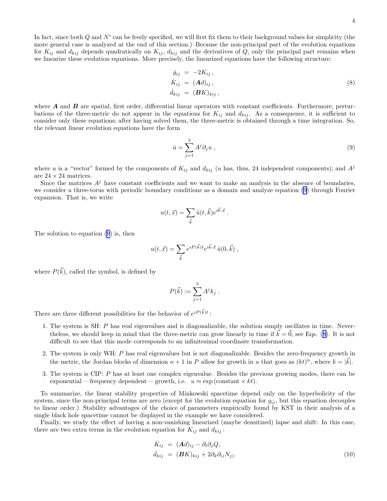<span id="page-4-0"></span>In fact, since both Q and  $N^i$  can be freely specified, we will first fix them to their background values for simplicity (the more general case is analyzed at the end of this section.) Because the non-principal part of the evolution equations for  $K_{ij}$  and  $d_{kij}$  depends quadratically on  $K_{ij}$ ,  $d_{kij}$  and the derivatives of Q, only the principal part remains when we linearize these evolution equations. More precisely, the linearized equations have the following structure:

$$
\dot{g}_{ij} = -2K_{ij}, \n\dot{K}_{ij} = (Ad)_{ij}, \n\dot{d}_{kij} = (BK)_{kij},
$$
\n(8)

where  $A$  and  $B$  are spatial, first order, differential linear operators with constant coefficients. Furthermore, perturbations of the three-metric do not appear in the equations for  $K_{ij}$  and  $d_{kij}$ . As a consequence, it is sufficient to consider only these equations; after having solved them, the three-metric is obtained through a time integration. So, the relevant linear evolution equations have the form

$$
\dot{u} = \sum_{j=1}^{3} A^j \partial_j u \,, \tag{9}
$$

where u is a "vector" formed by the components of  $K_{ij}$  and  $d_{kij}$  (u has, thus, 24 independent components); and  $A^j$ are  $24 \times 24$  matrices.

Since the matrices  $A<sup>j</sup>$  have constant coefficients and we want to make an analysis in the absence of boundaries, we consider a three-torus with periodic boundary conditions as a domain and analyze equation (9) through Fourier expansion. That is, we write

$$
u(t,\vec{x}) = \sum_{\vec{k}} \hat{u}(t,\vec{k}) e^{i\vec{k}\cdot\vec{x}}.
$$

The solution to equation (9) is, then

$$
u(t, \vec{x}) = \sum_{\vec{k}} e^{iP(\vec{k})t} e^{i\vec{k}\cdot\vec{x}} \hat{u}(0, \vec{k}),
$$

where  $P(\vec{k})$ , called the symbol, is defined by

$$
P(\vec{k}) := \sum_{j=1}^{3} A^{j} k_{j} .
$$

There are three different possibilities for the behavior of  $e^{iP(\vec{k})t}$ :

- 1. The system is SH: P has real eigenvalues and is diagonalizable, the solution simply oscillates in time. Nevertheless, we should keep in mind that the three-metric can grow linearly in time if  $\vec{k} = \vec{0}$ , see Eqs. (8). It is not difficult to see that this mode corresponds to an infinitesimal coordinate transformation.
- 2. The system is only WH: P has real eigenvalues but is not diagonalizable. Besides the zero-frequency growth in the metric, the Jordan blocks of dimension  $n + 1$  in P allow for growth in u that goes as  $(kt)^n$ , where  $k = |\vec{k}|$ .
- 3. The system is CIP: P has at least one complex eigenvalue. Besides the previous growing modes, there can be exponential —frequency dependent— growth, i.e.  $u \approx \exp$  (constant  $\times kt$ ).

To summarize, the linear stability properties of Minkowski spacetime depend only on the hyperbolicity of the system, since the non-principal terms are zero (except for the evolution equation for  $g_{ij}$ , but this equation decouples to linear order.) Stability advantages of the choice of parameters empirically found by KST in their analysis of a single black hole spacetime cannot be displayed in the example we have considered.

Finally, we study the effect of having a non-vanishing linearized (maybe densitized) lapse and shift: In this case, there are two extra terms in the evolution equation for  $K_{ij}$  and  $d_{kij}$ :

$$
\dot{K}_{ij} = (Ad)_{ij} - \partial_i \partial_j Q,
$$
\n
$$
\dot{d}_{kij} = (BK)_{kij} + 2\partial_k \partial_{(i} N_j).
$$
\n(10)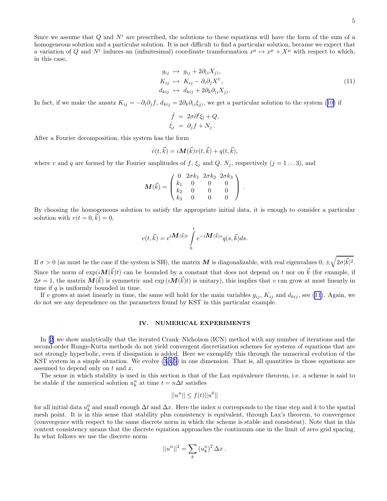<span id="page-5-0"></span>Since we assume that Q and  $N^i$  are prescribed, the solutions to these equations will have the form of the sum of a homogeneous solution and a particular solution. It is not difficult to find a particular solution, because we expect that a variation of Q and  $N^i$  induces an (infinitesimal) coordinate transformation  $x^{\mu} \mapsto x^{\mu} + X^{\mu}$  with respect to which, in this case,

$$
g_{ij} \mapsto g_{ij} + 2\partial_{(i}X_{j)},
$$
  
\n
$$
K_{ij} \mapsto K_{ij} - \partial_{i}\partial_{j}X^{t},
$$
  
\n
$$
d_{kij} \mapsto d_{kij} + 2\partial_{k}\partial_{(i}X_{j)}.
$$
\n(11)

Infact, if we make the ansatz  $K_{ij} = -\partial_i \partial_j f$ ,  $d_{kij} = 2\partial_k \partial_{(i} \xi_j)$ , we get a particular solution to the system ([10\)](#page-4-0) if

$$
\dot{f} = 2\sigma \partial^l \xi_l + Q,
$$
  

$$
\dot{\xi}_j = \partial_j f + N_j.
$$

After a Fourier decomposition, this system has the form

$$
\dot{v}(t,\vec{k}) = i\mathbf{M}(\vec{k})v(t,\vec{k}) + q(t,\vec{k}),
$$

where v and q are formed by the Fourier amplitudes of f,  $\xi_j$  and Q,  $N_j$ , respectively  $(j = 1 ... 3)$ , and

$$
\boldsymbol{M}(\vec{k}) = \left( \begin{array}{cccc} 0 & 2\sigma k_1 & 2\sigma k_2 & 2\sigma k_3 \\ k_1 & 0 & 0 & 0 \\ k_2 & 0 & 0 & 0 \\ k_3 & 0 & 0 & 0 \end{array} \right) \ .
$$

By choosing the homogeneous solution to satisfy the appropriate initial data, it is enough to consider a particular solution with  $v(t=0, \vec{k}) = 0$ ,

$$
v(t,\vec{k}) = e^{i\boldsymbol{M}(\vec{k})t} \int_{0}^{t} e^{-i\boldsymbol{M}(\vec{k})s} q(s,\vec{k}) ds.
$$

If  $\sigma > 0$  (as must be the case if the system is SH), the matrix  $M$  is diagonalizable, with real eigenvalues  $0, \pm \sqrt{2\sigma |\vec{k}|^2}$ . Since the norm of  $\exp(i\mathbf{M}(\vec{k})t)$  can be bounded by a constant that does not depend on t nor on  $\vec{k}$  (for example, if  $2\sigma = 1$ , the matrix  $M(\vec{k})$  is symmetric and  $\exp(iM(\vec{k})t)$  is unitary), this implies that v can grow at most linearly in time if  $q$  is uniformly bounded in time.

If v grows at most linearly in time, the same will hold for the main variables  $g_{ij}$ ,  $K_{ij}$  and  $d_{kij}$ , see (11). Again, we do not see any dependence on the parameters found by KST in this particular example.

# IV. NUMERICAL EXPERIMENTS

In[[2\]](#page-14-0) we show analytically that the iterated Crank–Nicholson (ICN) method with any number of iterations and the second-order Runge-Kutta methods do not yield convergent discretization schemes for systems of equations that are not strongly hyperbolic, even if dissipation is added. Here we exemplify this through the numerical evolution of the KST system in a simple situation. We evolve [\(3](#page-2-0),[4,5\)](#page-2-0) in one dimension. That is, all quantities in those equations are assumed to depend only on  $t$  and  $x$ .

The sense in which stability is used in this section is that of the Lax equivalence theorem, i.e. a scheme is said to be stable if the numerical solution  $u_k^n$  at time  $t = n\Delta t$  satisfies

$$
||u^n|| \le f(t)||u^0||
$$

for all initial data  $u_k^0$  and small enough  $\Delta t$  and  $\Delta x$ . Here the index n corresponds to the time step and k to the spatial mesh point. It is in this sense that stability plus consistency is equivalent, through Lax's theorem, to convergence (convergence with respect to the same discrete norm in which the scheme is stable and consistent). Note that in this context consistency means that the discrete equation approaches the continuum one in the limit of zero grid spacing. In what follows we use the discrete norm

$$
||u^n||^2 = \sum_k (u_k^n)^2 \Delta x.
$$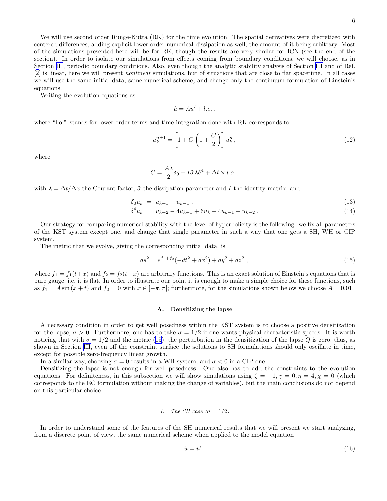<span id="page-6-0"></span>We will use second order Runge-Kutta (RK) for the time evolution. The spatial derivatives were discretized with centered differences, adding explicit lower order numerical dissipation as well, the amount of it being arbitrary. Most of the simulations presented here will be for RK, though the results are very similar for ICN (see the end of the section). In order to isolate our simulations from effects coming from boundary conditions, we will choose, as in Section [III](#page-2-0), periodic boundary conditions. Also, even though the analytic stability analysis of Section [III](#page-2-0) and of Ref. [[2\]](#page-14-0) is linear, here we will present nonlinear simulations, but of situations that are close to flat spacetime. In all cases we will use the same initial data, same numerical scheme, and change only the continuum formulation of Einstein's equations.

Writing the evolution equations as

$$
\dot{u} = Au' + l.o.
$$

where "l.o." stands for lower order terms and time integration done with RK corresponds to

$$
u_k^{n+1} = \left[1 + C\left(1 + \frac{C}{2}\right)\right]u_k^n,\tag{12}
$$

where

$$
C = \frac{A\lambda}{2}\delta_0 - I\tilde{\sigma}\lambda\delta^4 + \Delta t \times l.o.
$$

with  $\lambda = \Delta t / \Delta x$  the Courant factor,  $\tilde{\sigma}$  the dissipation parameter and I the identity matrix, and

$$
\delta_0 u_k = u_{k+1} - u_{k-1} \,, \tag{13}
$$

$$
\delta^4 u_k = u_{k+2} - 4u_{k+1} + 6u_k - 4u_{k-1} + u_{k-2} \tag{14}
$$

Our strategy for comparing numerical stability with the level of hyperbolicity is the following: we fix all parameters of the KST system except one, and change that single parameter in such a way that one gets a SH, WH or CIP system.

The metric that we evolve, giving the corresponding initial data, is

$$
ds^{2} = e^{f_{1} + f_{2}}(-dt^{2} + dx^{2}) + dy^{2} + dz^{2}, \qquad (15)
$$

where  $f_1 = f_1(t+x)$  and  $f_2 = f_2(t-x)$  are arbitrary functions. This is an exact solution of Einstein's equations that is pure gauge, i.e. it is flat. In order to illustrate our point it is enough to make a simple choice for these functions, such as  $f_1 = A \sin(x + t)$  and  $f_2 = 0$  with  $x \in [-\pi, \pi]$ ; furthermore, for the simulations shown below we choose  $A = 0.01$ .

### A. Densitizing the lapse

A necessary condition in order to get well posedness within the KST system is to choose a positive densitization for the lapse,  $\sigma > 0$ . Furthermore, one has to take  $\sigma = 1/2$  if one wants physical characteristic speeds. It is worth noticing that with  $\sigma = 1/2$  and the metric (15), the perturbation in the densitization of the lapse Q is zero; thus, as shown in Section [III,](#page-2-0) even off the constraint surface the solutions to SH formulations should only oscillate in time, except for possible zero-frequency linear growth.

In a similar way, choosing  $\sigma = 0$  results in a WH system, and  $\sigma < 0$  in a CIP one.

Densitizing the lapse is not enough for well posedness. One also has to add the constraints to the evolution equations. For definiteness, in this subsection we will show simulations using  $\zeta = -1, \gamma = 0, \eta = 4, \chi = 0$  (which corresponds to the EC formulation without making the change of variables), but the main conclusions do not depend on this particular choice.

### 1. The SH case  $(\sigma = 1/2)$

In order to understand some of the features of the SH numerical results that we will present we start analyzing, from a discrete point of view, the same numerical scheme when applied to the model equation

$$
\dot{u} = u' \tag{16}
$$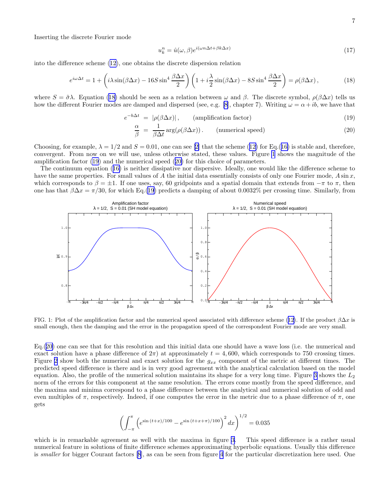Inserting the discrete Fourier mode

$$
u_k^n = \hat{u}(\omega, \beta) e^{i(\omega n \Delta t + \beta k \Delta x)}
$$
\n(17)

into the difference scheme([12\)](#page-5-0), one obtains the discrete dispersion relation

$$
e^{i\omega\Delta t} = 1 + \left( i\lambda \sin(\beta \Delta x) - 16S \sin^4 \frac{\beta \Delta x}{2} \right) \left( 1 + i\frac{\lambda}{2} \sin(\beta \Delta x) - 8S \sin^4 \frac{\beta \Delta x}{2} \right) = \rho(\beta \Delta x),\tag{18}
$$

where  $S = \tilde{\sigma}\lambda$ . Equation (18) should be seen as a relation between  $\omega$  and  $\beta$ . The discrete symbol,  $\rho(\beta\Delta x)$  tells us how the different Fourier modes are damped and dispersed (see, e.g. [\[8](#page-15-0)], chapter 7). Writing  $\omega = \alpha + ib$ , we have that

$$
e^{-b\Delta t} = |\rho(\beta \Delta x)|, \qquad \text{(amplification factor)} \tag{19}
$$

$$
\frac{\alpha}{\beta} = \frac{1}{\beta \Delta t} \arg(\rho(\beta \Delta x)). \qquad \text{(numerical speed)} \tag{20}
$$

Choosing,for example,  $\lambda = 1/2$  and  $S = 0.01$ , one can see [[2\]](#page-14-0) that the scheme ([12\)](#page-5-0) for Eq.([16\)](#page-6-0) is stable and, therefore, convergent. From now on we will use, unless otherwise stated, these values. Figure 1 shows the magnitude of the amplification factor (19) and the numerical speed (20) for this choice of parameters.

The continuum equation([16\)](#page-6-0) is neither dissipative nor dispersive. Ideally, one would like the difference scheme to have the same properties. For small values of A the initial data essentially consists of only one Fourier mode,  $A \sin x$ , which corresponds to  $\beta = \pm 1$ . If one uses, say, 60 gridpoints and a spatial domain that extends from  $-\pi$  to  $\pi$ , then one has that  $\beta \Delta x = \pi/30$ , for which Eq.(19) predicts a damping of about 0.0032% per crossing time. Similarly, from



FIG.1: Plot of the amplification factor and the numerical speed associated with difference scheme ([12](#page-5-0)). If the product  $\beta\Delta x$  is small enough, then the damping and the error in the propagation speed of the correspondent Fourier mode are very small.

Eq.(20) one can see that for this resolution and this initial data one should have a wave loss (i.e. the numerical and exact solution have a phase difference of  $2\pi$ ) at approximately  $t = 4,600$ , which corresponds to 750 crossing times. Figure [2](#page-8-0) show both the numerical and exact solution for the  $g_{xx}$  component of the metric at different times. The predicted speed difference is there and is in very good agreement with the analytical calculation based on the model equation. Also, the profile of the numerical solution maintains its shape for a very long time. Figure [3](#page-9-0) shows the  $L_2$ norm of the errors for this component at the same resolution. The errors come mostly from the speed difference, and the maxima and minima correspond to a phase difference between the analytical and numerical solution of odd and even multiples of  $\pi$ , respectively. Indeed, if one computes the error in the metric due to a phase difference of  $\pi$ , one gets

$$
\left(\int_{-\pi}^{\pi} \left(e^{\sin{(t+x)/100}} - e^{\sin{(t+x+\pi)/100}}\right)^2 dx\right)^{1/2} = 0.035
$$

which is in remarkable agreement as well with the maxima in figure [3](#page-9-0). This speed difference is a rather usual numerical feature in solutions of finite difference schemes approximating hyperbolic equations. Usually this difference is smaller for bigger Courant factors [\[8](#page-15-0)], as can be seen from figure [4](#page-9-0) for the particular discretization here used. One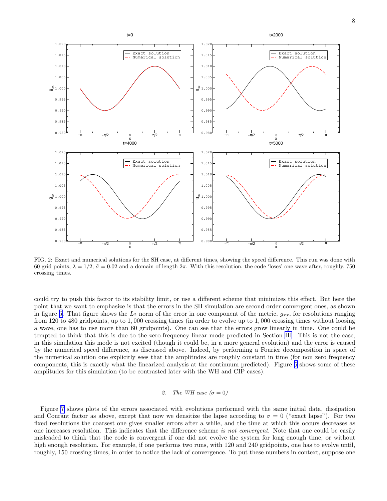<span id="page-8-0"></span>

FIG. 2: Exact and numerical solutions for the SH case, at different times, showing the speed difference. This run was done with 60 grid points,  $\lambda = 1/2$ ,  $\tilde{\sigma} = 0.02$  and a domain of length  $2\pi$ . With this resolution, the code 'loses' one wave after, roughly, 750 crossing times.

could try to push this factor to its stability limit, or use a different scheme that minimizes this effect. But here the point that we want to emphasize is that the errors in the SH simulation are second order convergent ones, as shown in figure [5.](#page-10-0) That figure shows the  $L_2$  norm of the error in one component of the metric,  $g_{xx}$ , for resolutions ranging from 120 to 480 gridpoints, up to 1, 000 crossing times (in order to evolve up to 1, 000 crossing times without loosing a wave, one has to use more than 60 gridpoints). One can see that the errors grow linearly in time. One could be tempted to think that this is due to the zero-frequency linear mode predicted in Section [III](#page-2-0). This is not the case, in this simulation this mode is not excited (though it could be, in a more general evolution) and the error is caused by the numerical speed difference, as discussed above. Indeed, by performing a Fourier decomposition in space of the numerical solution one explicitly sees that the amplitudes are roughly constant in time (for non zero frequency components, this is exactly what the linearized analysis at the continuum predicted). Figure [6](#page-10-0) shows some of these amplitudes for this simulation (to be contrasted later with the WH and CIP cases).

# 2. The WH case  $(\sigma = 0)$

Figure [7](#page-11-0) shows plots of the errors associated with evolutions performed with the same initial data, dissipation and Courant factor as above, except that now we densitize the lapse according to  $\sigma = 0$  ("exact lapse"). For two fixed resolutions the coarsest one gives smaller errors after a while, and the time at which this occurs decreases as one increases resolution. This indicates that the difference scheme is not convergent. Note that one could be easily misleaded to think that the code is convergent if one did not evolve the system for long enough time, or without high enough resolution. For example, if one performs two runs, with 120 and 240 gridpoints, one has to evolve until, roughly, 150 crossing times, in order to notice the lack of convergence. To put these numbers in context, suppose one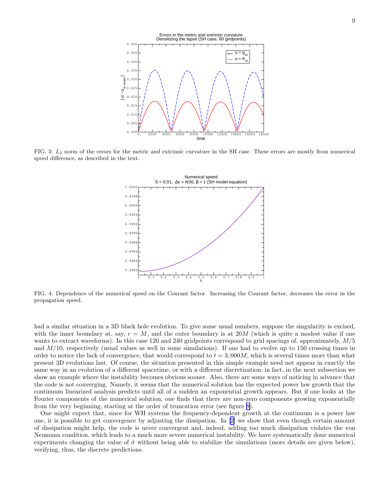<span id="page-9-0"></span>

FIG. 3: L<sup>2</sup> norm of the errors for the metric and extrinsic curvature in the SH case. These errors are mostly from numerical speed difference, as described in the text.



FIG. 4: Dependence of the numerical speed on the Courant factor. Increasing the Courant factor, decreases the error in the propagation speed.

had a similar situation in a 3D black hole evolution. To give some usual numbers, suppose the singularity is excised, with the inner boundary at, say,  $r = M$ , and the outer boundary is at 20M (which is quite a modest value if one wants to extract waveforms). In this case 120 and 240 gridpoints correspond to grid spacings of, approximately,  $M/5$ and  $M/10$ , respectively (usual values as well in some simulations). If one had to evolve up to 150 crossing times in order to notice the lack of convergence, that would correspond to  $t = 3,000M$ , which is several times more than what present 3D evolutions last. Of course, the situation presented in this simple example need not appear in exactly the same way in an evolution of a different spacetime, or with a different discretization; in fact, in the next subsection we show an example where the instability becomes obvious sooner. Also, there are some ways of noticing in advance that the code is not converging. Namely, it seems that the numerical solution has the expected power law growth that the continuum linearized analysis predicts until all of a sudden an exponential growth appears. But if one looks at the Fourier components of the numerical solution, one finds that there are non-zero components growing exponentially from the very beginning, starting at the order of truncation error (see figure [8\)](#page-11-0).

One might expect that, since for WH systems the frequency-dependent growth at the continuum is a power law one, it is possible to get convergence by adjusting the dissipation. In[[2\]](#page-14-0) we show that even though certain amount of dissipation might help, the code is never convergent and, indeed, adding too much dissipation violates the von Neumann condition, which leads to a much more severe numerical instability. We have systematically done numerical experiments changing the value of  $\tilde{\sigma}$  without being able to stabilize the simulations (more details are given below), verifying, thus, the discrete predictions.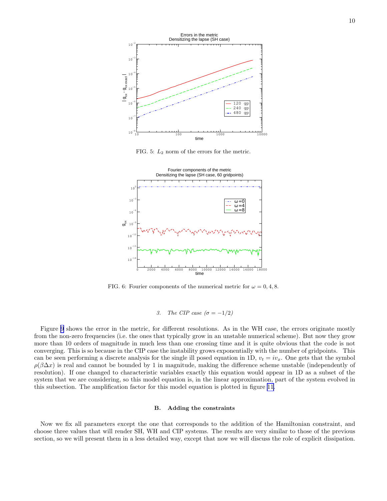<span id="page-10-0"></span>

FIG. 5:  $L_2$  norm of the errors for the metric.



FIG. 6: Fourier components of the numerical metric for  $\omega = 0, 4, 8$ .

3. The CIP case  $(\sigma = -1/2)$ 

Figure [9](#page-12-0) shows the error in the metric, for different resolutions. As in the WH case, the errors originate mostly from the non-zero frequencies (i.e. the ones that typically grow in an unstable numerical scheme). But now they grow more than 10 orders of magnitude in much less than one crossing time and it is quite obvious that the code is not converging. This is so because in the CIP case the instability grows exponentially with the number of gridpoints. This can be seen performing a discrete analysis for the single ill posed equation in 1D,  $v_t = iv_x$ . One gets that the symbol  $\rho(\beta\Delta x)$  is real and cannot be bounded by 1 in magnitude, making the difference scheme unstable (independently of resolution). If one changed to characteristic variables exactly this equation would appear in 1D as a subset of the system that we are considering, so this model equation is, in the linear approximation, part of the system evolved in this subsection. The amplification factor for this model equation is plotted in figure [11](#page-14-0).

### B. Adding the constraints

Now we fix all parameters except the one that corresponds to the addition of the Hamiltonian constraint, and choose three values that will render SH, WH and CIP systems. The results are very similar to those of the previous section, so we will present them in a less detailed way, except that now we will discuss the role of explicit dissipation.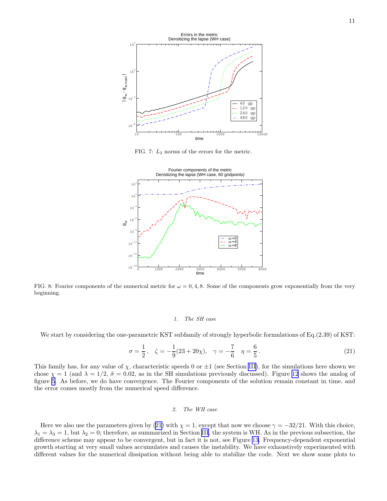<span id="page-11-0"></span>

FIG. 7:  $L_2$  norms of the errors for the metric.



FIG. 8: Fourier components of the numerical metric for  $\omega = 0, 4, 8$ . Some of the components grow exponentially from the very beginning.

### 1. The SH case

We start by considering the one-parametric KST subfamily of strongly hyperbolic formulations of Eq.(2.39) of KST:

$$
\sigma = \frac{1}{2}, \quad \zeta = -\frac{1}{9}(23 + 20\chi), \quad \gamma = -\frac{7}{6} \quad \eta = \frac{6}{5} \,. \tag{21}
$$

This family has, for any value of  $\chi$ , characteristic speeds 0 or  $\pm 1$  (see Section [III\)](#page-2-0), for the simulations here shown we chose  $\chi = 1$  (and  $\lambda = 1/2$ ,  $\tilde{\sigma} = 0.02$ , as in the SH simulations previously discussed). Figure [12](#page-14-0) shows the analog of figure [5](#page-10-0). As before, we do have convergence. The Fourier components of the solution remain constant in time, and the error comes mostly from the numerical speed difference.

### 2. The WH case

Here we also use the parameters given by (21) with  $\chi = 1$ , except that now we choose  $\gamma = -32/21$ . With this choice,  $\lambda_1 = \lambda_3 = 1$ , but  $\lambda_2 = 0$ ; therefore, as summarized in Section [III](#page-2-0), the system is WH. As in the previous subsection, the difference scheme may appear to be convergent, but in fact it is not, see Figure [13](#page-15-0). Frequency-dependent exponential growth starting at very small values accumulates and causes the instability. We have exhaustively experimented with different values for the numerical dissipation without being able to stabilize the code. Next we show some plots to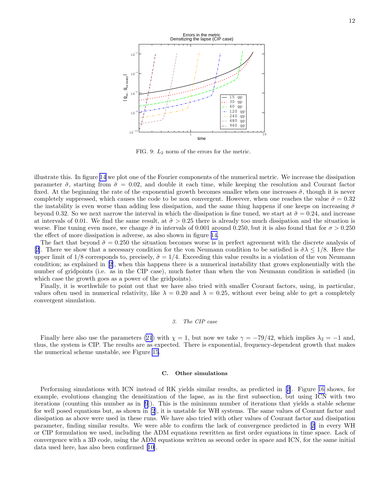<span id="page-12-0"></span>

FIG. 9:  $L_2$  norm of the errors for the metric.

illustrate this. In figure [14](#page-16-0) we plot one of the Fourier components of the numerical metric. We increase the dissipation parameter  $\tilde{\sigma}$ , starting from  $\tilde{\sigma} = 0.02$ , and double it each time, while keeping the resolution and Courant factor fixed. At the beginning the rate of the exponential growth becomes smaller when one increases  $\tilde{\sigma}$ , though it is never completely suppressed, which causes the code to be non convergent. However, when one reaches the value  $\tilde{\sigma} = 0.32$ the instability is even worse than adding less dissipation, and the same thing happens if one keeps on increasing  $\tilde{\sigma}$ beyond 0.32. So we next narrow the interval in which the dissipation is fine tuned, we start at  $\tilde{\sigma} = 0.24$ , and increase at intervals of 0.01. We find the same result, at  $\tilde{\sigma} > 0.25$  there is already too much dissipation and the situation is worse. Fine tuning even more, we change  $\tilde{\sigma}$  in intervals of 0.001 around 0.250, but it is also found that for  $\sigma > 0.250$ the effect of more dissipation is adverse, as also shown in figure [14.](#page-16-0)

The fact that beyond  $\tilde{\sigma} = 0.250$  the situation becomes worse is in perfect agreement with the discrete analysis of [[2\]](#page-14-0). There we show that a necessary condition for the von Neumann condition to be satisfied is  $\tilde{\sigma} \lambda \leq 1/8$ . Here the upper limit of  $1/8$  corresponds to, precisely,  $\tilde{\sigma} = 1/4$ . Exceeding this value results in a violation of the von Neumann condition; as explained in [\[2\]](#page-14-0), when this happens there is a numerical instability that grows explonentially with the number of gridpoints (i.e. as in the CIP case), much faster than when the von Neumann condition is satisfied (in which case the growth goes as a power of the gridpoints).

Finally, it is worthwhile to point out that we have also tried with smaller Courant factors, using, in particular, values often used in numerical relativity, like  $\lambda = 0.20$  and  $\lambda = 0.25$ , without ever being able to get a completely convergent simulation.

### 3. The CIP case

Finally here also use the parameters [\(21](#page-11-0)) with  $\chi = 1$ , but now we take  $\gamma = -79/42$ , which implies  $\lambda_2 = -1$  and, thus, the system is CIP. The results are as expected. There is exponential, frequency-dependent growth that makes the numerical scheme unstable, see Figure [15](#page-16-0).

### C. Other simulations

Performing simulations with ICN instead of RK yields similar results, as predicted in[[2\]](#page-14-0). Figure [16](#page-17-0) shows, for example, evolutions changing the densitization of the lapse, as in the first subsection, but using ICN with two iterations (counting this number as in [\[9](#page-15-0)]). This is the minimum number of iterations that yields a stable scheme for well posed equations but, as shown in [\[2](#page-14-0)], it is unstable for WH systems. The same values of Courant factor and dissipation as above were used in these runs. We have also tried with other values of Courant factor and dissipation parameter, finding similar results. We were able to confirm the lack of convergence predicted in[[2\]](#page-14-0) in every WH or CIP formulation we used, including the ADM equations rewritten as first order equations in time space. Lack of convergence with a 3D code, using the ADM equations written as second order in space and ICN, for the same initial data used here, has also been confirmed[[10\]](#page-15-0).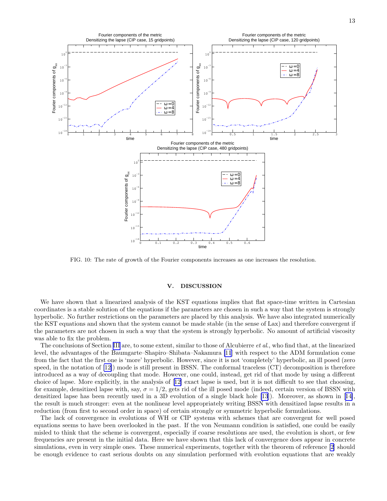

FIG. 10: The rate of growth of the Fourier components increases as one increases the resolution.

### V. DISCUSSION

We have shown that a linearized analysis of the KST equations implies that flat space-time written in Cartesian coordinates is a stable solution of the equations if the parameters are chosen in such a way that the system is strongly hyperbolic. No further restrictions on the parameters are placed by this analysis. We have also integrated numerically the KST equations and shown that the system cannot be made stable (in the sense of Lax) and therefore convergent if the parameters are not chosen in such a way that the system is strongly hyperbolic. No amount of artificial viscosity was able to fix the problem.

The conclusions of Section [III](#page-2-0) are, to some extent, similar to those of Alcubierre et al., who find that, at the linearized level, the advantages of the Baumgarte–Shapiro–Shibata–Nakamura [\[11](#page-15-0)] with respect to the ADM formulation come from the fact that the first one is 'more' hyperbolic. However, since it is not 'completely' hyperbolic, an ill posed (zero speed, in the notation of [\[12\]](#page-15-0)) mode is still present in BSSN. The conformal traceless (CT) decomposition is therefore introduced as a way of decoupling that mode. However, one could, instead, get rid of that mode by using a different choice of lapse. More explicitly, in the analysis of[[12\]](#page-15-0) exact lapse is used, but it is not difficult to see that choosing, for example, densitized lapse with, say,  $\sigma = 1/2$ , gets rid of the ill posed mode (indeed, certain version of BSSN with densitized lapse has been recently used in a 3D evolution of a single black hole [\[13](#page-15-0)]). Moreover, as shown in[[14\]](#page-15-0), the result is much stronger: even at the nonlinear level appropriately writing BSSN with densitized lapse results in a reduction (from first to second order in space) of certain strongly or symmetric hyperbolic formulations.

The lack of convergence in evolutions of WH or CIP systems with schemes that are convergent for well posed equations seems to have been overlooked in the past. If the von Neumann condition is satisfied, one could be easily misled to think that the scheme is convergent, especially if coarse resolutions are used, the evolution is short, or few frequencies are present in the initial data. Here we have shown that this lack of convergence does appear in concrete simulations, even in very simple ones. These numerical experiments, together with the theorem of reference [\[2](#page-14-0)] should be enough evidence to cast serious doubts on any simulation performed with evolution equations that are weakly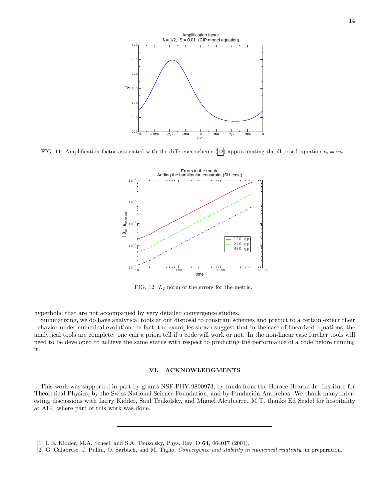<span id="page-14-0"></span>

FIG. 11: Amplification factor associated with the difference scheme [\(12\)](#page-5-0) approximating the ill posed equation  $v_t = iv_x$ .



FIG. 12:  $L_2$  norm of the errors for the metric.

hyperbolic that are not accompanied by very detailed convergence studies.

Summarizing, we do have analytical tools at our disposal to constrain schemes and predict to a certain extent their behavior under numerical evolution. In fact, the examples shown suggest that in the case of linearized equations, the analytical tools are complete: one can a priori tell if a code will work or not. In the non-linear case further tools will need to be developed to achieve the same status with respect to predicting the performance of a code before running it.

### VI. ACKNOWLEDGMENTS

This work was supported in part by grants NSF-PHY-9800973, by funds from the Horace Hearne Jr. Institute for Theoretical Physics, by the Swiss National Science Foundation, and by Fundación Antorchas. We thank many interesting discussions with Larry Kidder, Saul Teukolsky, and Miguel Alcubierre. M.T. thanks Ed Seidel for hospitality at AEI, where part of this work was done.

<sup>[1]</sup> L.E. Kidder, M.A. Scheel, and S.A. Teukolsky, Phys. Rev. D 64, 064017 (2001).

<sup>[2]</sup> G. Calabrese, J. Pullin, O. Sarbach, and M. Tiglio, Convergence and stability in numerical relativity, in preparation.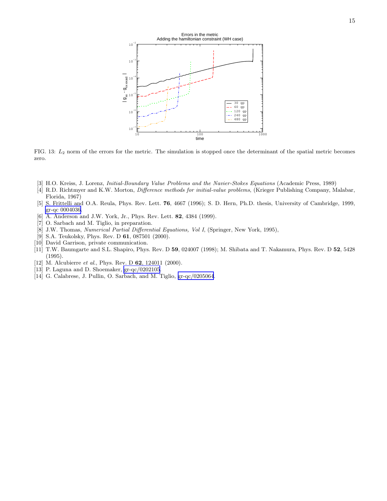<span id="page-15-0"></span>

FIG. 13:  $L_2$  norm of the errors for the metric. The simulation is stopped once the determinant of the spatial metric becomes zero.

- [3] H.O. Kreiss, J. Lorenz, Initial-Boundary Value Problems and the Navier-Stokes Equations (Academic Press, 1989)
- [4] R.D. Richtmyer and K.W. Morton, *Difference methods for initial-value problems*, (Krieger Publishing Company, Malabar, Florida, 1967)
- [5] S. Frittelli and O.A. Reula, Phys. Rev. Lett. 76, 4667 (1996); S. D. Hern, Ph.D. thesis, University of Cambridge, 1999, [gr-qc 0004036.](http://arxiv.org/abs/gr-qc/0004036)
- [6] A. Anderson and J.W. York, Jr., Phys. Rev. Lett. **82**, 4384 (1999).
- [7] O. Sarbach and M. Tiglio, in preparation.
- [8] J.W. Thomas, Numerical Partial Differential Equations, Vol I, (Springer, New York, 1995),
- [9] S.A. Teukolsky, Phys. Rev. D 61, 087501 (2000).
- [10] David Garrison, private communication.
- [11] T.W. Baumgarte and S.L. Shapiro, Phys. Rev. D 59, 024007 (1998); M. Shibata and T. Nakamura, Phys. Rev. D 52, 5428 (1995).
- [12] M. Alcubierre et al., Phys. Rev. D 62, 124011 (2000).
- [13] P. Laguna and D. Shoemaker, [gr-qc/0202105](http://arxiv.org/abs/gr-qc/0202105).
- [14] G. Calabrese, J. Pullin, O. Sarbach, and M. Tiglio, [gr-qc/0205064](http://arxiv.org/abs/gr-qc/0205064).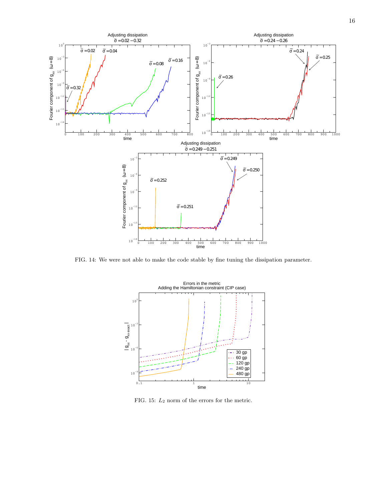<span id="page-16-0"></span>

FIG. 14: We were not able to make the code stable by fine tuning the dissipation parameter.



FIG. 15:  $\mathcal{L}_2$  norm of the errors for the metric.